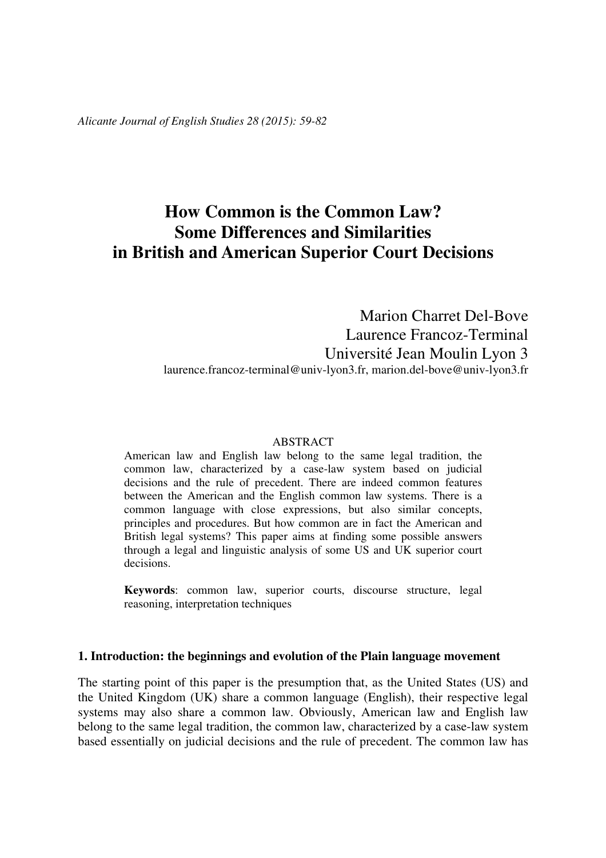*Alicante Journal of English Studies 28 (2015): 59-82* 

# **How Common is the Common Law? Some Differences and Similarities in British and American Superior Court Decisions**

Marion Charret Del-Bove Laurence Francoz-Terminal Université Jean Moulin Lyon 3 laurence.francoz-terminal@univ-lyon3.fr, marion.del-bove@univ-lyon3.fr

### ABSTRACT

American law and English law belong to the same legal tradition, the common law, characterized by a case-law system based on judicial decisions and the rule of precedent. There are indeed common features between the American and the English common law systems. There is a common language with close expressions, but also similar concepts, principles and procedures. But how common are in fact the American and British legal systems? This paper aims at finding some possible answers through a legal and linguistic analysis of some US and UK superior court decisions.

**Keywords**: common law, superior courts, discourse structure, legal reasoning, interpretation techniques

# **1. Introduction: the beginnings and evolution of the Plain language movement**

The starting point of this paper is the presumption that, as the United States (US) and the United Kingdom (UK) share a common language (English), their respective legal systems may also share a common law. Obviously, American law and English law belong to the same legal tradition, the common law, characterized by a case-law system based essentially on judicial decisions and the rule of precedent. The common law has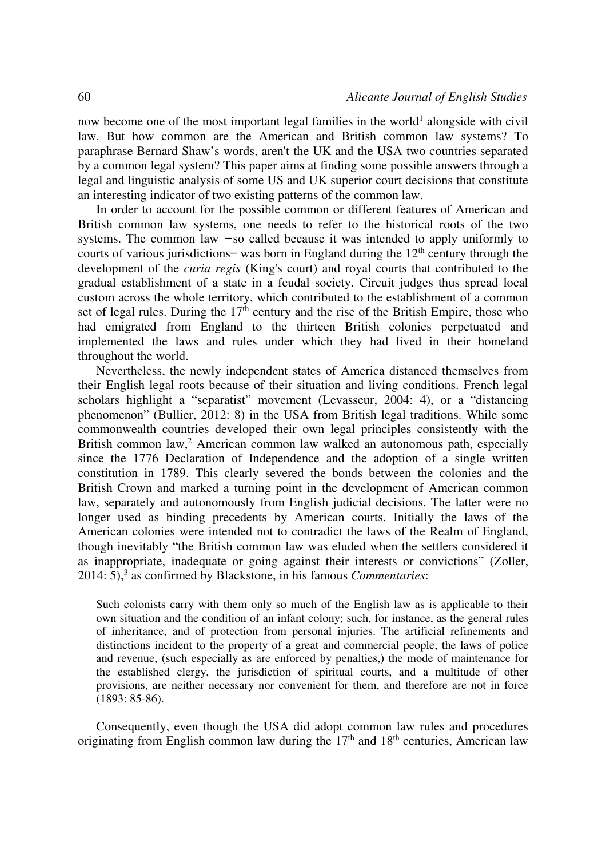now become one of the most important legal families in the world<sup>1</sup> alongside with civil law. But how common are the American and British common law systems? To paraphrase Bernard Shaw's words, aren't the UK and the USA two countries separated by a common legal system? This paper aims at finding some possible answers through a legal and linguistic analysis of some US and UK superior court decisions that constitute an interesting indicator of two existing patterns of the common law.

In order to account for the possible common or different features of American and British common law systems, one needs to refer to the historical roots of the two systems. The common law  $-$ so called because it was intended to apply uniformly to courts of various jurisdictions — was born in England during the  $12<sup>th</sup>$  century through the development of the *curia regis* (King's court) and royal courts that contributed to the gradual establishment of a state in a feudal society. Circuit judges thus spread local custom across the whole territory, which contributed to the establishment of a common set of legal rules. During the  $17<sup>th</sup>$  century and the rise of the British Empire, those who had emigrated from England to the thirteen British colonies perpetuated and implemented the laws and rules under which they had lived in their homeland throughout the world.

Nevertheless, the newly independent states of America distanced themselves from their English legal roots because of their situation and living conditions. French legal scholars highlight a "separatist" movement (Levasseur, 2004: 4), or a "distancing phenomenon" (Bullier, 2012: 8) in the USA from British legal traditions. While some commonwealth countries developed their own legal principles consistently with the British common law,<sup>2</sup> American common law walked an autonomous path, especially since the 1776 Declaration of Independence and the adoption of a single written constitution in 1789. This clearly severed the bonds between the colonies and the British Crown and marked a turning point in the development of American common law, separately and autonomously from English judicial decisions. The latter were no longer used as binding precedents by American courts. Initially the laws of the American colonies were intended not to contradict the laws of the Realm of England, though inevitably "the British common law was eluded when the settlers considered it as inappropriate, inadequate or going against their interests or convictions" (Zoller, 2014: 5),<sup>3</sup> as confirmed by Blackstone, in his famous *Commentaries*:

Such colonists carry with them only so much of the English law as is applicable to their own situation and the condition of an infant colony; such, for instance, as the general rules of inheritance, and of protection from personal injuries. The artificial refinements and distinctions incident to the property of a great and commercial people, the laws of police and revenue, (such especially as are enforced by penalties,) the mode of maintenance for the established clergy, the jurisdiction of spiritual courts, and a multitude of other provisions, are neither necessary nor convenient for them, and therefore are not in force (1893: 85-86).

Consequently, even though the USA did adopt common law rules and procedures originating from English common law during the  $17<sup>th</sup>$  and  $18<sup>th</sup>$  centuries, American law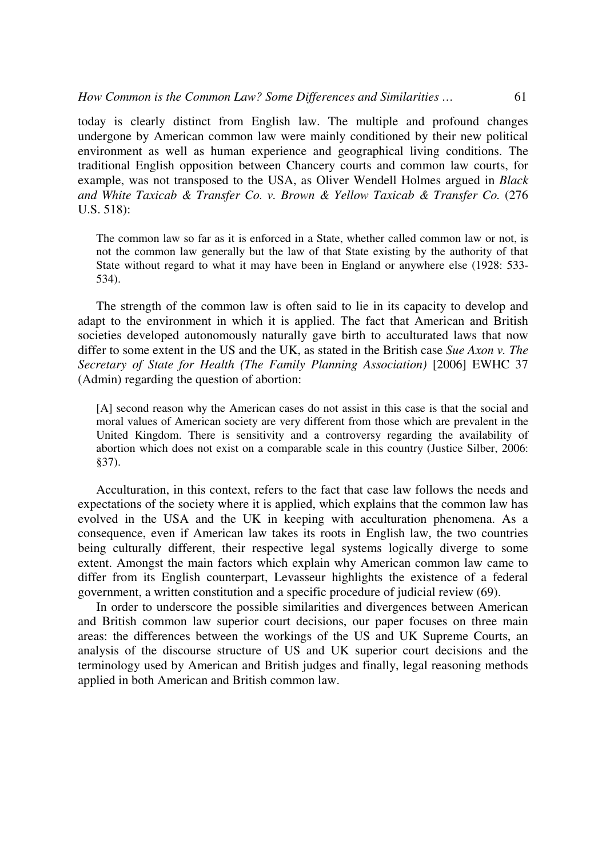today is clearly distinct from English law. The multiple and profound changes undergone by American common law were mainly conditioned by their new political environment as well as human experience and geographical living conditions. The traditional English opposition between Chancery courts and common law courts, for example, was not transposed to the USA, as Oliver Wendell Holmes argued in *Black and White Taxicab & Transfer Co. v. Brown & Yellow Taxicab & Transfer Co.* (276 U.S. 518):

The common law so far as it is enforced in a State, whether called common law or not, is not the common law generally but the law of that State existing by the authority of that State without regard to what it may have been in England or anywhere else (1928: 533- 534).

The strength of the common law is often said to lie in its capacity to develop and adapt to the environment in which it is applied. The fact that American and British societies developed autonomously naturally gave birth to acculturated laws that now differ to some extent in the US and the UK, as stated in the British case *Sue Axon v. The Secretary of State for Health (The Family Planning Association)* [2006] EWHC 37 (Admin) regarding the question of abortion:

[A] second reason why the American cases do not assist in this case is that the social and moral values of American society are very different from those which are prevalent in the United Kingdom. There is sensitivity and a controversy regarding the availability of abortion which does not exist on a comparable scale in this country (Justice Silber, 2006: §37).

Acculturation, in this context, refers to the fact that case law follows the needs and expectations of the society where it is applied, which explains that the common law has evolved in the USA and the UK in keeping with acculturation phenomena. As a consequence, even if American law takes its roots in English law, the two countries being culturally different, their respective legal systems logically diverge to some extent. Amongst the main factors which explain why American common law came to differ from its English counterpart, Levasseur highlights the existence of a federal government, a written constitution and a specific procedure of judicial review (69).

In order to underscore the possible similarities and divergences between American and British common law superior court decisions, our paper focuses on three main areas: the differences between the workings of the US and UK Supreme Courts, an analysis of the discourse structure of US and UK superior court decisions and the terminology used by American and British judges and finally, legal reasoning methods applied in both American and British common law.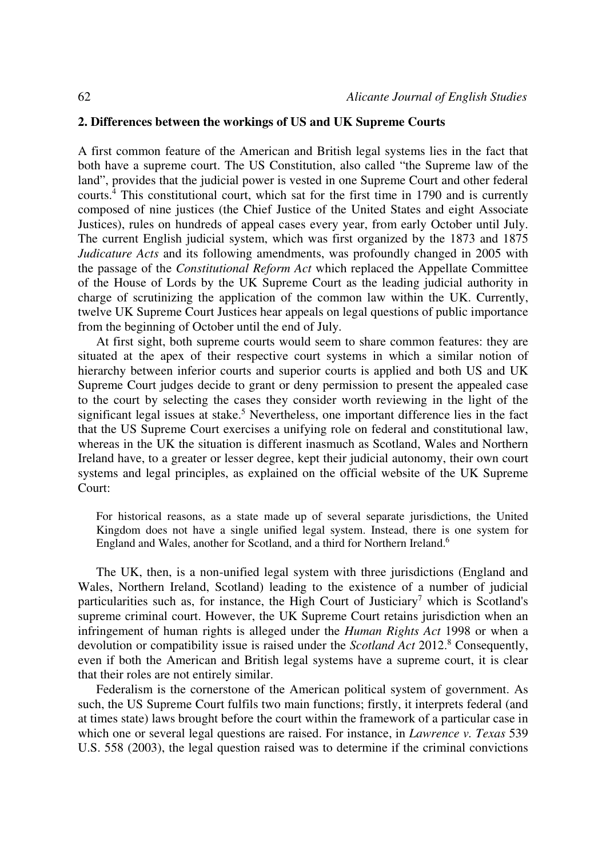# **2. Differences between the workings of US and UK Supreme Courts**

A first common feature of the American and British legal systems lies in the fact that both have a supreme court. The US Constitution, also called "the Supreme law of the land", provides that the judicial power is vested in one Supreme Court and other federal courts.<sup>4</sup> This constitutional court, which sat for the first time in 1790 and is currently composed of nine justices (the Chief Justice of the United States and eight Associate Justices), rules on hundreds of appeal cases every year, from early October until July. The current English judicial system, which was first organized by the 1873 and 1875 *Judicature Acts* and its following amendments, was profoundly changed in 2005 with the passage of the *Constitutional Reform Act* which replaced the Appellate Committee of the House of Lords by the UK Supreme Court as the leading judicial authority in charge of scrutinizing the application of the common law within the UK. Currently, twelve UK Supreme Court Justices hear appeals on legal questions of public importance from the beginning of October until the end of July.

At first sight, both supreme courts would seem to share common features: they are situated at the apex of their respective court systems in which a similar notion of hierarchy between inferior courts and superior courts is applied and both US and UK Supreme Court judges decide to grant or deny permission to present the appealed case to the court by selecting the cases they consider worth reviewing in the light of the significant legal issues at stake.<sup>5</sup> Nevertheless, one important difference lies in the fact that the US Supreme Court exercises a unifying role on federal and constitutional law, whereas in the UK the situation is different inasmuch as Scotland, Wales and Northern Ireland have, to a greater or lesser degree, kept their judicial autonomy, their own court systems and legal principles, as explained on the official website of the UK Supreme Court:

For historical reasons, as a state made up of several separate jurisdictions, the United Kingdom does not have a single unified legal system. Instead, there is one system for England and Wales, another for Scotland, and a third for Northern Ireland.<sup>6</sup>

The UK, then, is a non-unified legal system with three jurisdictions (England and Wales, Northern Ireland, Scotland) leading to the existence of a number of judicial particularities such as, for instance, the High Court of Justiciary<sup>7</sup> which is Scotland's supreme criminal court. However, the UK Supreme Court retains jurisdiction when an infringement of human rights is alleged under the *Human Rights Act* 1998 or when a devolution or compatibility issue is raised under the *Scotland Act* 2012.<sup>8</sup> Consequently, even if both the American and British legal systems have a supreme court, it is clear that their roles are not entirely similar.

Federalism is the cornerstone of the American political system of government. As such, the US Supreme Court fulfils two main functions; firstly, it interprets federal (and at times state) laws brought before the court within the framework of a particular case in which one or several legal questions are raised. For instance, in *Lawrence v. Texas* 539 U.S. 558 (2003), the legal question raised was to determine if the criminal convictions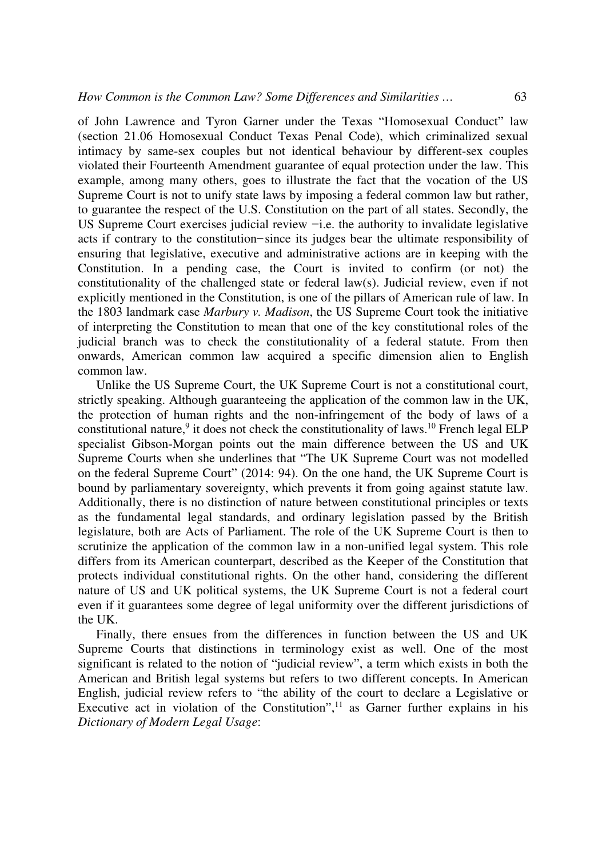of John Lawrence and Tyron Garner under the Texas "Homosexual Conduct" law (section 21.06 Homosexual Conduct Texas Penal Code), which criminalized sexual intimacy by same-sex couples but not identical behaviour by different-sex couples violated their Fourteenth Amendment guarantee of equal protection under the law. This example, among many others, goes to illustrate the fact that the vocation of the US Supreme Court is not to unify state laws by imposing a federal common law but rather, to guarantee the respect of the U.S. Constitution on the part of all states. Secondly, the US Supreme Court exercises judicial review  $-i.e.$  the authority to invalidate legislative acts if contrary to the constitution-since its judges bear the ultimate responsibility of ensuring that legislative, executive and administrative actions are in keeping with the Constitution. In a pending case, the Court is invited to confirm (or not) the constitutionality of the challenged state or federal law(s). Judicial review, even if not explicitly mentioned in the Constitution, is one of the pillars of American rule of law. In the 1803 landmark case *Marbury v. Madison*, the US Supreme Court took the initiative of interpreting the Constitution to mean that one of the key constitutional roles of the judicial branch was to check the constitutionality of a federal statute. From then onwards, American common law acquired a specific dimension alien to English common law.

Unlike the US Supreme Court, the UK Supreme Court is not a constitutional court, strictly speaking. Although guaranteeing the application of the common law in the UK, the protection of human rights and the non-infringement of the body of laws of a constitutional nature,<sup>9</sup> it does not check the constitutionality of laws.<sup>10</sup> French legal ELP specialist Gibson-Morgan points out the main difference between the US and UK Supreme Courts when she underlines that "The UK Supreme Court was not modelled on the federal Supreme Court" (2014: 94). On the one hand, the UK Supreme Court is bound by parliamentary sovereignty, which prevents it from going against statute law. Additionally, there is no distinction of nature between constitutional principles or texts as the fundamental legal standards, and ordinary legislation passed by the British legislature, both are Acts of Parliament. The role of the UK Supreme Court is then to scrutinize the application of the common law in a non-unified legal system. This role differs from its American counterpart, described as the Keeper of the Constitution that protects individual constitutional rights. On the other hand, considering the different nature of US and UK political systems, the UK Supreme Court is not a federal court even if it guarantees some degree of legal uniformity over the different jurisdictions of the UK.

Finally, there ensues from the differences in function between the US and UK Supreme Courts that distinctions in terminology exist as well. One of the most significant is related to the notion of "judicial review", a term which exists in both the American and British legal systems but refers to two different concepts. In American English, judicial review refers to "the ability of the court to declare a Legislative or Executive act in violation of the Constitution", $^{11}$  as Garner further explains in his *Dictionary of Modern Legal Usage*: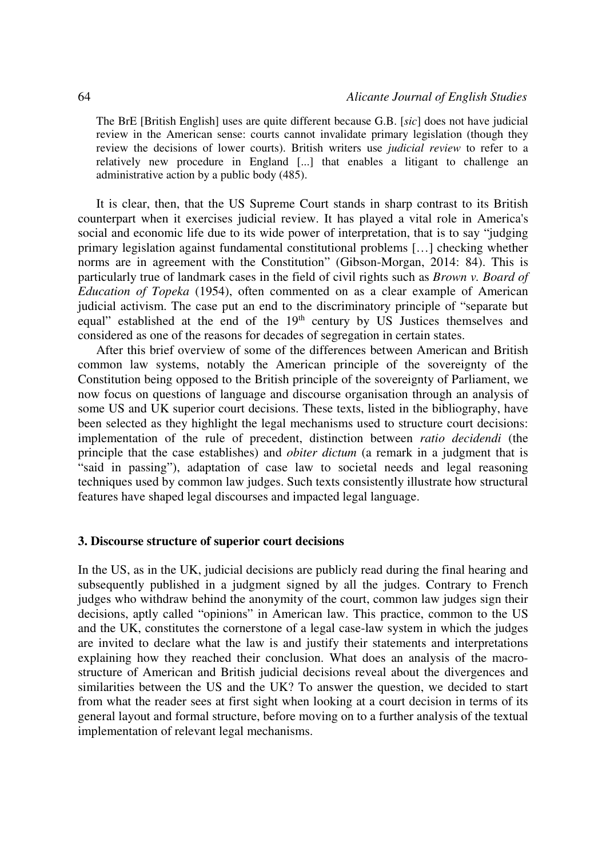The BrE [British English] uses are quite different because G.B. [*sic*] does not have judicial review in the American sense: courts cannot invalidate primary legislation (though they review the decisions of lower courts). British writers use *judicial review* to refer to a relatively new procedure in England [...] that enables a litigant to challenge an administrative action by a public body (485).

It is clear, then, that the US Supreme Court stands in sharp contrast to its British counterpart when it exercises judicial review. It has played a vital role in America's social and economic life due to its wide power of interpretation, that is to say "judging primary legislation against fundamental constitutional problems […] checking whether norms are in agreement with the Constitution" (Gibson-Morgan, 2014: 84). This is particularly true of landmark cases in the field of civil rights such as *Brown v. Board of Education of Topeka* (1954), often commented on as a clear example of American judicial activism. The case put an end to the discriminatory principle of "separate but equal" established at the end of the 19<sup>th</sup> century by US Justices themselves and considered as one of the reasons for decades of segregation in certain states.

After this brief overview of some of the differences between American and British common law systems, notably the American principle of the sovereignty of the Constitution being opposed to the British principle of the sovereignty of Parliament, we now focus on questions of language and discourse organisation through an analysis of some US and UK superior court decisions. These texts, listed in the bibliography, have been selected as they highlight the legal mechanisms used to structure court decisions: implementation of the rule of precedent, distinction between *ratio decidendi* (the principle that the case establishes) and *obiter dictum* (a remark in a judgment that is "said in passing"), adaptation of case law to societal needs and legal reasoning techniques used by common law judges. Such texts consistently illustrate how structural features have shaped legal discourses and impacted legal language.

# **3. Discourse structure of superior court decisions**

In the US, as in the UK, judicial decisions are publicly read during the final hearing and subsequently published in a judgment signed by all the judges. Contrary to French judges who withdraw behind the anonymity of the court, common law judges sign their decisions, aptly called "opinions" in American law. This practice, common to the US and the UK, constitutes the cornerstone of a legal case-law system in which the judges are invited to declare what the law is and justify their statements and interpretations explaining how they reached their conclusion. What does an analysis of the macrostructure of American and British judicial decisions reveal about the divergences and similarities between the US and the UK? To answer the question, we decided to start from what the reader sees at first sight when looking at a court decision in terms of its general layout and formal structure, before moving on to a further analysis of the textual implementation of relevant legal mechanisms.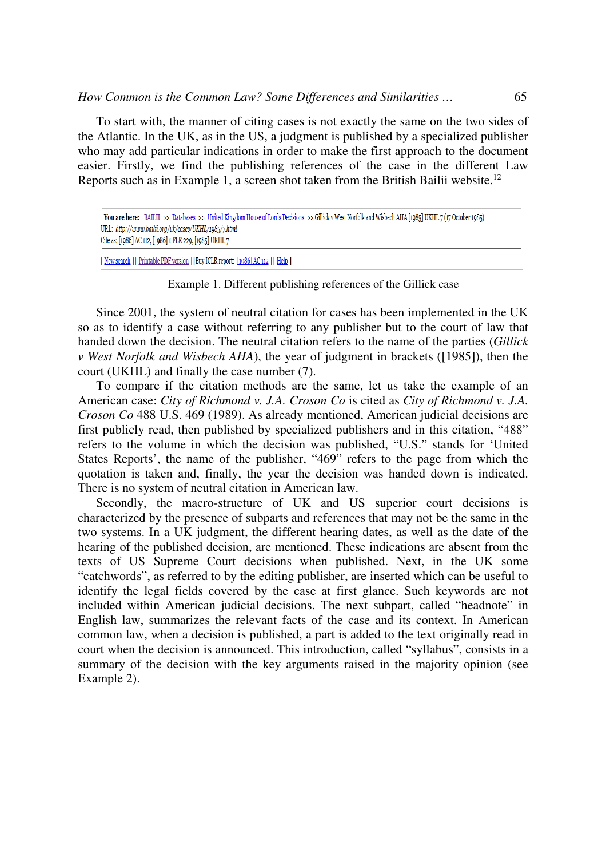To start with, the manner of citing cases is not exactly the same on the two sides of the Atlantic. In the UK, as in the US, a judgment is published by a specialized publisher who may add particular indications in order to make the first approach to the document easier. Firstly, we find the publishing references of the case in the different Law Reports such as in Example 1, a screen shot taken from the British Bailii website.<sup>12</sup>

[ New search ] [ Printable PDF version ] [Buy ICLR report: [1986] AC 112 ] [ Help ]

Example 1. Different publishing references of the Gillick case

Since 2001, the system of neutral citation for cases has been implemented in the UK so as to identify a case without referring to any publisher but to the court of law that handed down the decision. The neutral citation refers to the name of the parties (*Gillick v West Norfolk and Wisbech AHA*), the year of judgment in brackets ([1985]), then the court (UKHL) and finally the case number (7).

To compare if the citation methods are the same, let us take the example of an American case: *City of Richmond v. J.A. Croson Co* is cited as *City of Richmond v. J.A. Croson Co* 488 U.S. 469 (1989). As already mentioned, American judicial decisions are first publicly read, then published by specialized publishers and in this citation, "488" refers to the volume in which the decision was published, "U.S." stands for 'United States Reports', the name of the publisher, "469" refers to the page from which the quotation is taken and, finally, the year the decision was handed down is indicated. There is no system of neutral citation in American law.

Secondly, the macro-structure of UK and US superior court decisions is characterized by the presence of subparts and references that may not be the same in the two systems. In a UK judgment, the different hearing dates, as well as the date of the hearing of the published decision, are mentioned. These indications are absent from the texts of US Supreme Court decisions when published. Next, in the UK some "catchwords", as referred to by the editing publisher, are inserted which can be useful to identify the legal fields covered by the case at first glance. Such keywords are not included within American judicial decisions. The next subpart, called "headnote" in English law, summarizes the relevant facts of the case and its context. In American common law, when a decision is published, a part is added to the text originally read in court when the decision is announced. This introduction, called "syllabus", consists in a summary of the decision with the key arguments raised in the majority opinion (see Example 2).

You are here: BAILII >> Databases >> United Kingdom House of Lords Decisions >> Gillick v West Norfolk and Wisbech AHA [1985] UKHL 7 (17 October 1985) URL: http://www.bailii.org/uk/cases/UKHL/1985/7.html Cite as: [1986] AC 112, [1986] 1 FLR 229, [1985] UKHL 7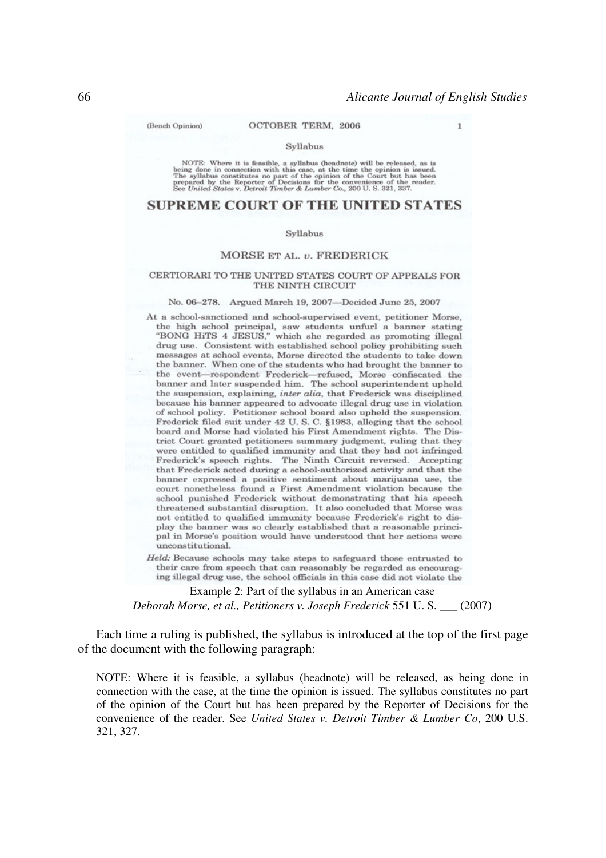(Bench Opinion)

 $\mathbf{I}$ 

#### Syllabus

NOTE: Where it is feasible, a syllabus (headnote) will be released, as is<br>being done in connection with this case, at the time the opinion is issued.<br>The syllabus constitutes no part of the coinion of the Court but has be

# **SUPREME COURT OF THE UNITED STATES**

#### Syllabus

#### MORSE ET AL. v. FREDERICK

#### CERTIORARI TO THE UNITED STATES COURT OF APPEALS FOR THE NINTH CIRCUIT

#### No. 06-278. Argued March 19, 2007-Decided June 25, 2007

At a school-sanctioned and school-supervised event, petitioner Morse, the high school principal, saw students unfurl a banner stating "BONG HiTS 4 JESUS," which she regarded as promoting illegal drug use. Consistent with established school policy prohibiting such messages at school events. Morse directed the students to take down the banner. When one of the students who had brought the banner to the event-respondent Frederick-refused, Morse confiscated the banner and later suspended him. The school superintendent upheld the suspension, explaining, inter alia, that Frederick was disciplined because his banner appeared to advocate illegal drug use in violation of school policy. Petitioner school board also upheld the suspension. Frederick filed suit under 42 U.S.C. §1983, alleging that the school board and Morse had violated his First Amendment rights. The District Court granted petitioners summary judgment, ruling that they were entitled to qualified immunity and that they had not infringed Frederick's speech rights. The Ninth Circuit reversed. Accepting that Frederick acted during a school-authorized activity and that the banner expressed a positive sentiment about marijuana use, the court nonetheless found a First Amendment violation because the school punished Frederick without demonstrating that his speech threatened substantial disruption. It also concluded that Morse was not entitled to qualified immunity because Frederick's right to display the banner was so clearly established that a reasonable principal in Morse's position would have understood that her actions were unconstitutional.

Held: Because schools may take steps to safeguard those entrusted to their care from speech that can reasonably be regarded as encouraging illegal drug use, the school officials in this case did not violate the

Example 2: Part of the syllabus in an American case *Deborah Morse, et al., Petitioners v. Joseph Frederick* 551 U. S. \_\_\_ (2007)

Each time a ruling is published, the syllabus is introduced at the top of the first page of the document with the following paragraph:

NOTE: Where it is feasible, a syllabus (headnote) will be released, as being done in connection with the case, at the time the opinion is issued. The syllabus constitutes no part of the opinion of the Court but has been prepared by the Reporter of Decisions for the convenience of the reader. See *United States v. Detroit Timber & Lumber Co*, 200 U.S. 321, 327.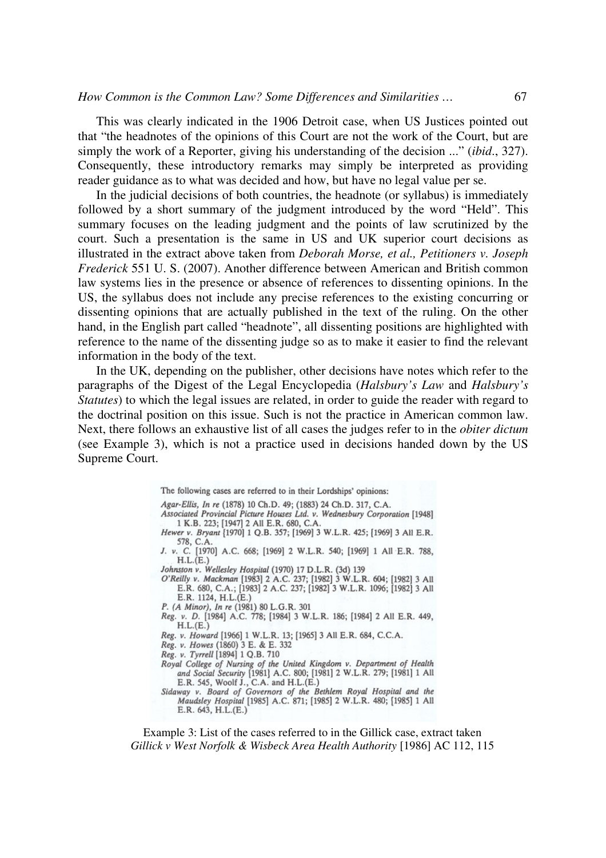This was clearly indicated in the 1906 Detroit case, when US Justices pointed out that "the headnotes of the opinions of this Court are not the work of the Court, but are simply the work of a Reporter, giving his understanding of the decision ..." (*ibid*., 327). Consequently, these introductory remarks may simply be interpreted as providing reader guidance as to what was decided and how, but have no legal value per se.

In the judicial decisions of both countries, the headnote (or syllabus) is immediately followed by a short summary of the judgment introduced by the word "Held". This summary focuses on the leading judgment and the points of law scrutinized by the court. Such a presentation is the same in US and UK superior court decisions as illustrated in the extract above taken from *Deborah Morse, et al., Petitioners v. Joseph Frederick* 551 U. S. (2007). Another difference between American and British common law systems lies in the presence or absence of references to dissenting opinions. In the US, the syllabus does not include any precise references to the existing concurring or dissenting opinions that are actually published in the text of the ruling. On the other hand, in the English part called "headnote", all dissenting positions are highlighted with reference to the name of the dissenting judge so as to make it easier to find the relevant information in the body of the text.

In the UK, depending on the publisher, other decisions have notes which refer to the paragraphs of the Digest of the Legal Encyclopedia (*Halsbury's Law* and *Halsbury's Statutes*) to which the legal issues are related, in order to guide the reader with regard to the doctrinal position on this issue. Such is not the practice in American common law. Next, there follows an exhaustive list of all cases the judges refer to in the *obiter dictum* (see Example 3), which is not a practice used in decisions handed down by the US Supreme Court.

> The following cases are referred to in their Lordships' opinions: Agar-Ellis, In re (1878) 10 Ch.D. 49; (1883) 24 Ch.D. 317, C.A. Associated Provincial Picture Houses Ltd. v. Wednesbury Corporation [1948] 1 K.B. 223; [1947] 2 All E.R. 680, C.A. Hewer v. Bryant [1970] 1 Q.B. 357; [1969] 3 W.L.R. 425; [1969] 3 All E.R. 578, C.A. J. v. C. [1970] A.C. 668; [1969] 2 W.L.R. 540; [1969] 1 All E.R. 788,  $H.L.(E.)$ Johnston v. Wellesley Hospital (1970) 17 D.L.R. (3d) 139 O'Reilly v. Mackman [1983] 2 A.C. 237; [1982] 3 W.L.R. 604; [1982] 3 All<br>E.R. 680, C.A.; [1983] 2 A.C. 237; [1982] 3 W.L.R. 1096; [1982] 3 All E.R. 1124, H.L.(E.) P. (A Minor), In re (1981) 80 L.G.R. 301<br>Reg. v. D. [1984] A.C. 778; [1984] 3 W.L.R. 186; [1984] 2 All E.R. 449,  $H.L.(E.)$ Reg. v. Howard [1966] 1 W.L.R. 13; [1965] 3 All E.R. 684, C.C.A. Reg. v. Howes (1860) 3 E. & E. 332 Reg. v. Tyrrell [1894] 1 Q.B. 710 Royal College of Nursing of the United Kingdom v. Department of Health<br>and Social Security [1981] A.C. 800; [1981] 2 W.L.R. 279; [1981] 1 All E.R. 545, Woolf J., C.A. and H.L.(E.) Sidaway v. Board of Governors of the Bethlem Royal Hospital and the Maudsley Hospital [1985] A.C. 871; [1985] 2 W.L.R. 480; [1985] 1 All E.R. 643, H.L.(E.)

Example 3: List of the cases referred to in the Gillick case, extract taken *Gillick v West Norfolk & Wisbeck Area Health Authority* [1986] AC 112, 115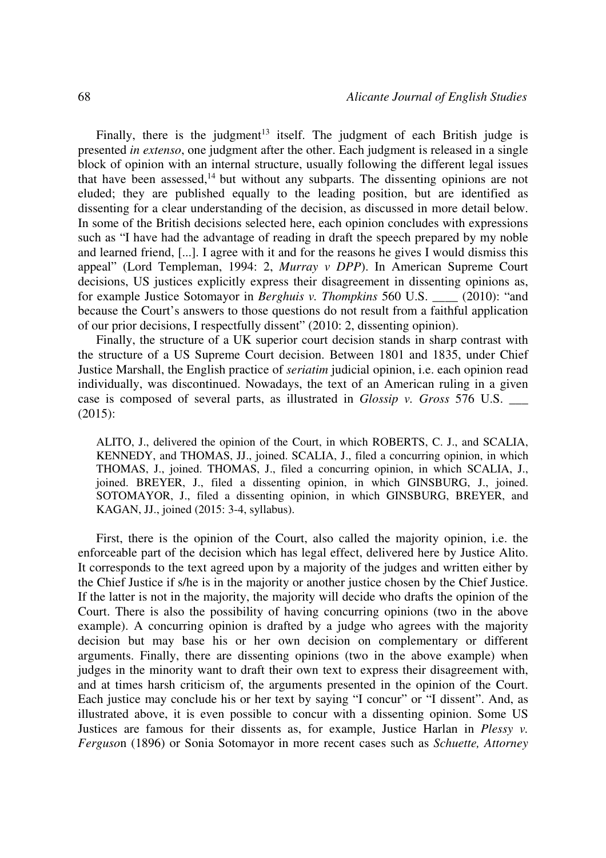Finally, there is the judgment<sup>13</sup> itself. The judgment of each British judge is presented *in extenso*, one judgment after the other. Each judgment is released in a single block of opinion with an internal structure, usually following the different legal issues that have been assessed,<sup>14</sup> but without any subparts. The dissenting opinions are not eluded; they are published equally to the leading position, but are identified as dissenting for a clear understanding of the decision, as discussed in more detail below. In some of the British decisions selected here, each opinion concludes with expressions such as "I have had the advantage of reading in draft the speech prepared by my noble and learned friend, [...]. I agree with it and for the reasons he gives I would dismiss this appeal" (Lord Templeman, 1994: 2, *Murray v DPP*). In American Supreme Court decisions, US justices explicitly express their disagreement in dissenting opinions as, for example Justice Sotomayor in *Berghuis v. Thompkins* 560 U.S. \_\_\_\_ (2010): "and because the Court's answers to those questions do not result from a faithful application of our prior decisions, I respectfully dissent" (2010: 2, dissenting opinion).

Finally, the structure of a UK superior court decision stands in sharp contrast with the structure of a US Supreme Court decision. Between 1801 and 1835, under Chief Justice Marshall, the English practice of *seriatim* judicial opinion, i.e. each opinion read individually, was discontinued. Nowadays, the text of an American ruling in a given case is composed of several parts, as illustrated in *Glossip v. Gross* 576 U.S. \_\_\_ (2015):

ALITO, J., delivered the opinion of the Court, in which ROBERTS, C. J., and SCALIA, KENNEDY, and THOMAS, JJ., joined. SCALIA, J., filed a concurring opinion, in which THOMAS, J., joined. THOMAS, J., filed a concurring opinion, in which SCALIA, J., joined. BREYER, J., filed a dissenting opinion, in which GINSBURG, J., joined. SOTOMAYOR, J., filed a dissenting opinion, in which GINSBURG, BREYER, and KAGAN, JJ., joined (2015: 3-4, syllabus).

First, there is the opinion of the Court, also called the majority opinion, i.e. the enforceable part of the decision which has legal effect, delivered here by Justice Alito. It corresponds to the text agreed upon by a majority of the judges and written either by the Chief Justice if s/he is in the majority or another justice chosen by the Chief Justice. If the latter is not in the majority, the majority will decide who drafts the opinion of the Court. There is also the possibility of having concurring opinions (two in the above example). A concurring opinion is drafted by a judge who agrees with the majority decision but may base his or her own decision on complementary or different arguments. Finally, there are dissenting opinions (two in the above example) when judges in the minority want to draft their own text to express their disagreement with, and at times harsh criticism of, the arguments presented in the opinion of the Court. Each justice may conclude his or her text by saying "I concur" or "I dissent". And, as illustrated above, it is even possible to concur with a dissenting opinion. Some US Justices are famous for their dissents as, for example, Justice Harlan in *Plessy v. Ferguso*n (1896) or Sonia Sotomayor in more recent cases such as *Schuette, Attorney*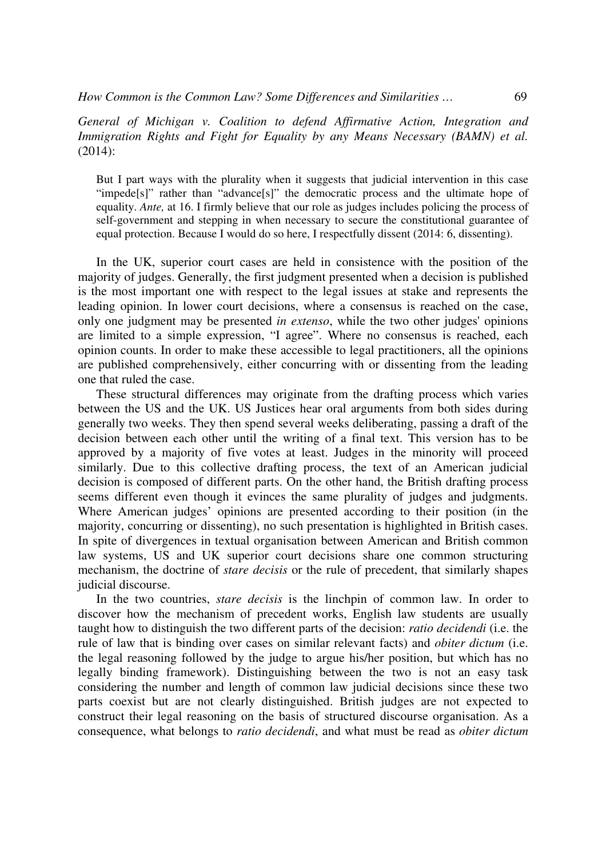*General of Michigan v. Coalition to defend Affirmative Action, Integration and Immigration Rights and Fight for Equality by any Means Necessary (BAMN) et al.*  (2014):

But I part ways with the plurality when it suggests that judicial intervention in this case "impede[s]" rather than "advance[s]" the democratic process and the ultimate hope of equality. *Ante,* at 16. I firmly believe that our role as judges includes policing the process of self-government and stepping in when necessary to secure the constitutional guarantee of equal protection. Because I would do so here, I respectfully dissent (2014: 6, dissenting).

In the UK, superior court cases are held in consistence with the position of the majority of judges. Generally, the first judgment presented when a decision is published is the most important one with respect to the legal issues at stake and represents the leading opinion. In lower court decisions, where a consensus is reached on the case, only one judgment may be presented *in extenso*, while the two other judges' opinions are limited to a simple expression, "I agree". Where no consensus is reached, each opinion counts. In order to make these accessible to legal practitioners, all the opinions are published comprehensively, either concurring with or dissenting from the leading one that ruled the case.

These structural differences may originate from the drafting process which varies between the US and the UK. US Justices hear oral arguments from both sides during generally two weeks. They then spend several weeks deliberating, passing a draft of the decision between each other until the writing of a final text. This version has to be approved by a majority of five votes at least. Judges in the minority will proceed similarly. Due to this collective drafting process, the text of an American judicial decision is composed of different parts. On the other hand, the British drafting process seems different even though it evinces the same plurality of judges and judgments. Where American judges' opinions are presented according to their position (in the majority, concurring or dissenting), no such presentation is highlighted in British cases. In spite of divergences in textual organisation between American and British common law systems, US and UK superior court decisions share one common structuring mechanism, the doctrine of *stare decisis* or the rule of precedent, that similarly shapes judicial discourse.

In the two countries, *stare decisis* is the linchpin of common law. In order to discover how the mechanism of precedent works, English law students are usually taught how to distinguish the two different parts of the decision: *ratio decidendi* (i.e. the rule of law that is binding over cases on similar relevant facts) and *obiter dictum* (i.e. the legal reasoning followed by the judge to argue his/her position, but which has no legally binding framework). Distinguishing between the two is not an easy task considering the number and length of common law judicial decisions since these two parts coexist but are not clearly distinguished. British judges are not expected to construct their legal reasoning on the basis of structured discourse organisation. As a consequence, what belongs to *ratio decidendi*, and what must be read as *obiter dictum*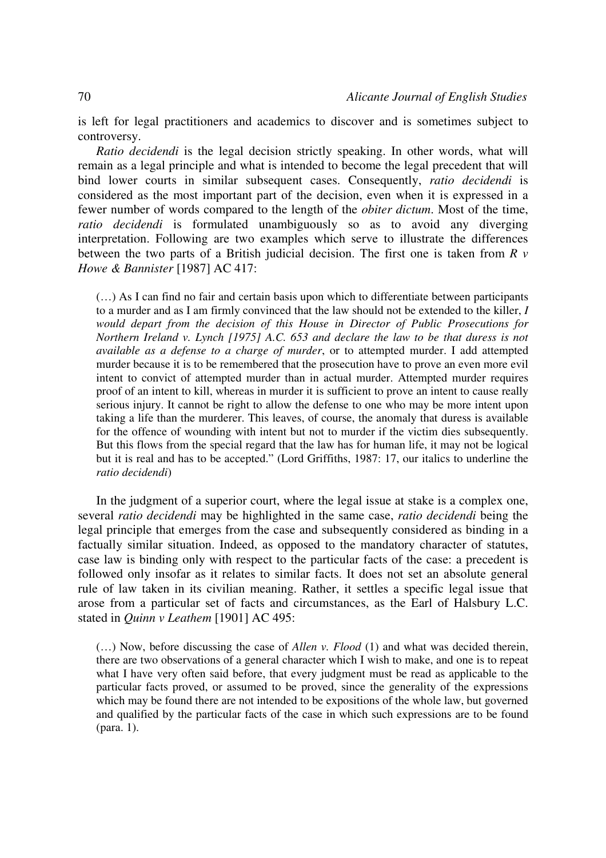is left for legal practitioners and academics to discover and is sometimes subject to controversy.

*Ratio decidendi* is the legal decision strictly speaking. In other words, what will remain as a legal principle and what is intended to become the legal precedent that will bind lower courts in similar subsequent cases. Consequently, *ratio decidendi* is considered as the most important part of the decision, even when it is expressed in a fewer number of words compared to the length of the *obiter dictum*. Most of the time, *ratio decidendi* is formulated unambiguously so as to avoid any diverging interpretation. Following are two examples which serve to illustrate the differences between the two parts of a British judicial decision. The first one is taken from *R v Howe & Bannister* [1987] AC 417:

(…) As I can find no fair and certain basis upon which to differentiate between participants to a murder and as I am firmly convinced that the law should not be extended to the killer, *I would depart from the decision of this House in Director of Public Prosecutions for Northern Ireland v. Lynch [1975] A.C. 653 and declare the law to be that duress is not available as a defense to a charge of murder*, or to attempted murder. I add attempted murder because it is to be remembered that the prosecution have to prove an even more evil intent to convict of attempted murder than in actual murder. Attempted murder requires proof of an intent to kill, whereas in murder it is sufficient to prove an intent to cause really serious injury. It cannot be right to allow the defense to one who may be more intent upon taking a life than the murderer. This leaves, of course, the anomaly that duress is available for the offence of wounding with intent but not to murder if the victim dies subsequently. But this flows from the special regard that the law has for human life, it may not be logical but it is real and has to be accepted." (Lord Griffiths, 1987: 17, our italics to underline the *ratio decidendi*)

In the judgment of a superior court, where the legal issue at stake is a complex one, several *ratio decidendi* may be highlighted in the same case, *ratio decidendi* being the legal principle that emerges from the case and subsequently considered as binding in a factually similar situation. Indeed, as opposed to the mandatory character of statutes, case law is binding only with respect to the particular facts of the case: a precedent is followed only insofar as it relates to similar facts. It does not set an absolute general rule of law taken in its civilian meaning. Rather, it settles a specific legal issue that arose from a particular set of facts and circumstances, as the Earl of Halsbury L.C. stated in *Quinn v Leathem* [1901] AC 495:

(…) Now, before discussing the case of *Allen v. Flood* (1) and what was decided therein, there are two observations of a general character which I wish to make, and one is to repeat what I have very often said before, that every judgment must be read as applicable to the particular facts proved, or assumed to be proved, since the generality of the expressions which may be found there are not intended to be expositions of the whole law, but governed and qualified by the particular facts of the case in which such expressions are to be found (para. 1).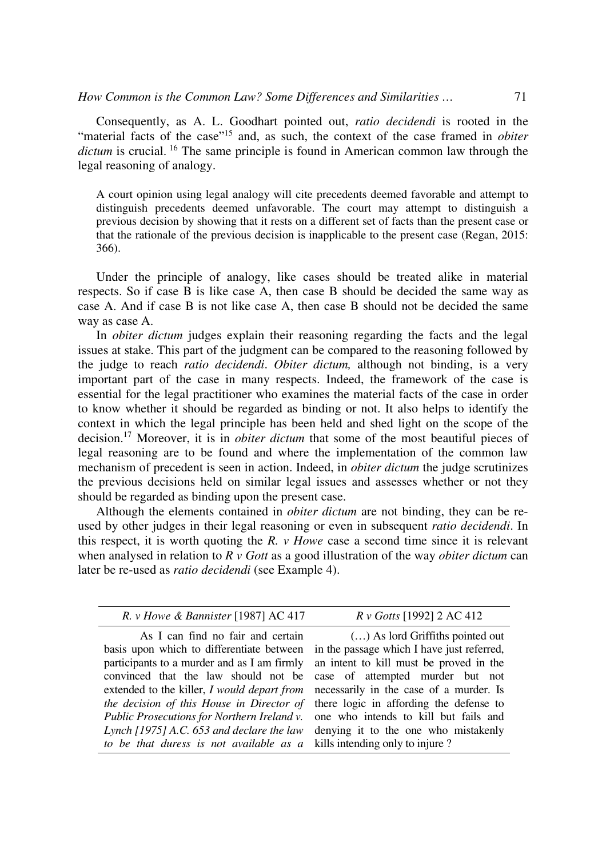*How Common is the Common Law? Some Differences and Similarities ...* 71

Consequently, as A. L. Goodhart pointed out, *ratio decidendi* is rooted in the "material facts of the case"<sup>15</sup> and, as such, the context of the case framed in *obiter dictum* is crucial.<sup>16</sup> The same principle is found in American common law through the legal reasoning of analogy.

A court opinion using legal analogy will cite precedents deemed favorable and attempt to distinguish precedents deemed unfavorable. The court may attempt to distinguish a previous decision by showing that it rests on a different set of facts than the present case or that the rationale of the previous decision is inapplicable to the present case (Regan, 2015: 366).

Under the principle of analogy, like cases should be treated alike in material respects. So if case B is like case A, then case B should be decided the same way as case A. And if case B is not like case A, then case B should not be decided the same way as case A.

In *obiter dictum* judges explain their reasoning regarding the facts and the legal issues at stake. This part of the judgment can be compared to the reasoning followed by the judge to reach *ratio decidendi*. *Obiter dictum,* although not binding, is a very important part of the case in many respects. Indeed, the framework of the case is essential for the legal practitioner who examines the material facts of the case in order to know whether it should be regarded as binding or not. It also helps to identify the context in which the legal principle has been held and shed light on the scope of the decision.<sup>17</sup> Moreover, it is in *obiter dictum* that some of the most beautiful pieces of legal reasoning are to be found and where the implementation of the common law mechanism of precedent is seen in action. Indeed, in *obiter dictum* the judge scrutinizes the previous decisions held on similar legal issues and assesses whether or not they should be regarded as binding upon the present case.

Although the elements contained in *obiter dictum* are not binding, they can be reused by other judges in their legal reasoning or even in subsequent *ratio decidendi*. In this respect, it is worth quoting the *R. v Howe* case a second time since it is relevant when analysed in relation to *R v Gott* as a good illustration of the way *obiter dictum* can later be re-used as *ratio decidendi* (see Example 4).

| R. v Howe & Bannister [1987] AC 417<br>$R \nu$ Gotts [1992] 2 AC 412<br>As I can find no fair and certain<br>in the passage which I have just referred,<br>basis upon which to differentiate between<br>an intent to kill must be proved in the<br>participants to a murder and as I am firmly<br>convinced that the law should not be<br>case of attempted murder but not<br>extended to the killer, I would depart from necessarily in the case of a murder. Is<br>the decision of this House in Director of<br>there logic in affording the defense to<br><i>Public Prosecutions for Northern Ireland v.</i> one who intends to kill but fails and<br>Lynch [1975] A.C. 653 and declare the law denying it to the one who mistakenly |                                  |
|-----------------------------------------------------------------------------------------------------------------------------------------------------------------------------------------------------------------------------------------------------------------------------------------------------------------------------------------------------------------------------------------------------------------------------------------------------------------------------------------------------------------------------------------------------------------------------------------------------------------------------------------------------------------------------------------------------------------------------------------|----------------------------------|
|                                                                                                                                                                                                                                                                                                                                                                                                                                                                                                                                                                                                                                                                                                                                         |                                  |
| to be that duress is not available as a kills intending only to injure?                                                                                                                                                                                                                                                                                                                                                                                                                                                                                                                                                                                                                                                                 | () As lord Griffiths pointed out |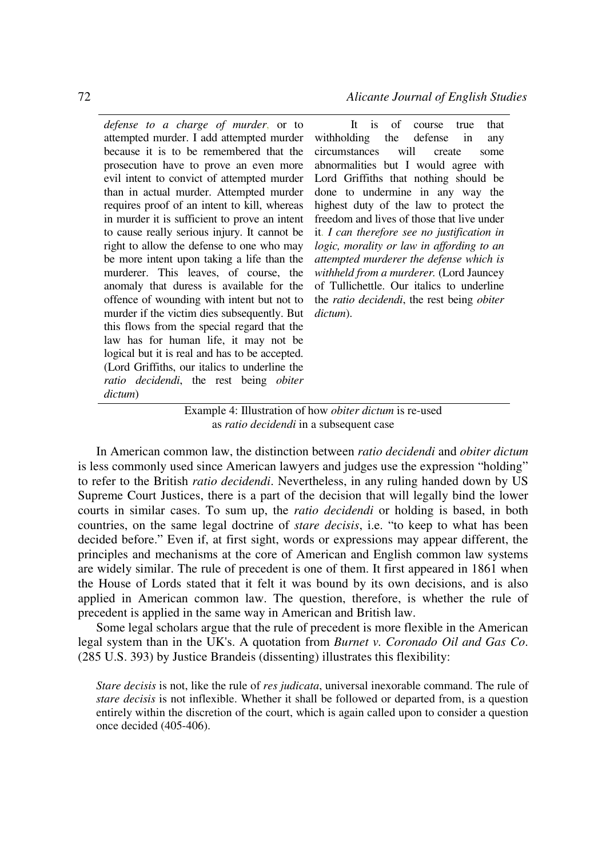*defense to a charge of murder*, or to attempted murder. I add attempted murder because it is to be remembered that the prosecution have to prove an even more evil intent to convict of attempted murder than in actual murder. Attempted murder requires proof of an intent to kill, whereas in murder it is sufficient to prove an intent to cause really serious injury. It cannot be right to allow the defense to one who may be more intent upon taking a life than the murderer. This leaves, of course, the anomaly that duress is available for the offence of wounding with intent but not to murder if the victim dies subsequently. But this flows from the special regard that the law has for human life, it may not be logical but it is real and has to be accepted. (Lord Griffiths, our italics to underline the *ratio decidendi*, the rest being *obiter dictum*)

It is of course true that withholding the defense in any circumstances will create some abnormalities but I would agree with Lord Griffiths that nothing should be done to undermine in any way the highest duty of the law to protect the freedom and lives of those that live under it. *I can therefore see no justification in logic, morality or law in affording to an attempted murderer the defense which is withheld from a murderer.* (Lord Jauncey of Tullichettle. Our italics to underline the *ratio decidendi*, the rest being *obiter dictum*).

# Example 4: Illustration of how *obiter dictum* is re-used as *ratio decidendi* in a subsequent case

In American common law, the distinction between *ratio decidendi* and *obiter dictum* is less commonly used since American lawyers and judges use the expression "holding" to refer to the British *ratio decidendi*. Nevertheless, in any ruling handed down by US Supreme Court Justices, there is a part of the decision that will legally bind the lower courts in similar cases. To sum up, the *ratio decidendi* or holding is based, in both countries, on the same legal doctrine of *stare decisis*, i.e. "to keep to what has been decided before." Even if, at first sight, words or expressions may appear different, the principles and mechanisms at the core of American and English common law systems are widely similar. The rule of precedent is one of them. It first appeared in 1861 when the House of Lords stated that it felt it was bound by its own decisions, and is also applied in American common law. The question, therefore, is whether the rule of precedent is applied in the same way in American and British law.

Some legal scholars argue that the rule of precedent is more flexible in the American legal system than in the UK's. A quotation from *Burnet v. Coronado Oil and Gas Co*. (285 U.S. 393) by Justice Brandeis (dissenting) illustrates this flexibility:

*Stare decisis* is not, like the rule of *res judicata*, universal inexorable command. The rule of *stare decisis* is not inflexible. Whether it shall be followed or departed from, is a question entirely within the discretion of the court, which is again called upon to consider a question once decided (405-406).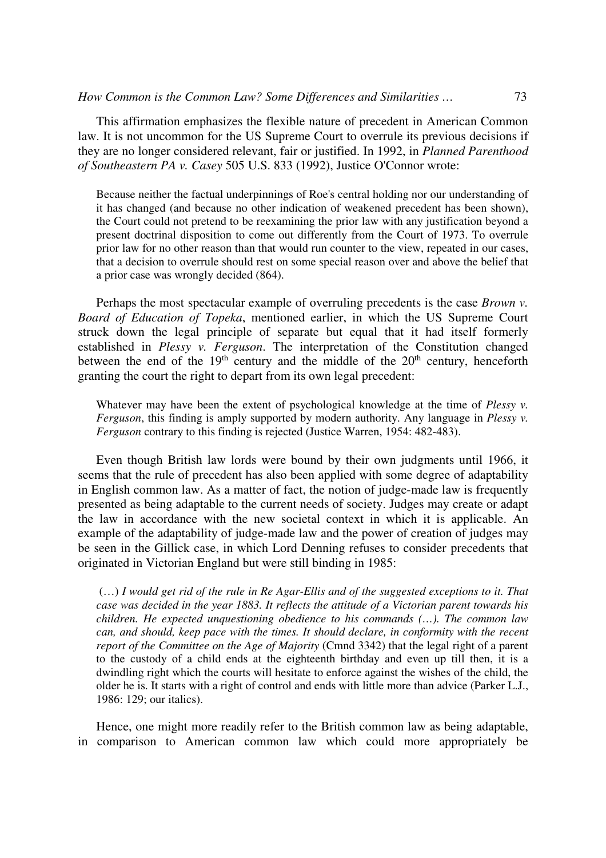This affirmation emphasizes the flexible nature of precedent in American Common law. It is not uncommon for the US Supreme Court to overrule its previous decisions if they are no longer considered relevant, fair or justified. In 1992, in *Planned Parenthood of Southeastern PA v. Casey* 505 U.S. 833 (1992), Justice O'Connor wrote:

Because neither the factual underpinnings of Roe's central holding nor our understanding of it has changed (and because no other indication of weakened precedent has been shown), the Court could not pretend to be reexamining the prior law with any justification beyond a present doctrinal disposition to come out differently from the Court of 1973. To overrule prior law for no other reason than that would run counter to the view, repeated in our cases, that a decision to overrule should rest on some special reason over and above the belief that a prior case was wrongly decided (864).

Perhaps the most spectacular example of overruling precedents is the case *Brown v. Board of Education of Topeka*, mentioned earlier, in which the US Supreme Court struck down the legal principle of separate but equal that it had itself formerly established in *Plessy v. Ferguson*. The interpretation of the Constitution changed between the end of the  $19<sup>th</sup>$  century and the middle of the  $20<sup>th</sup>$  century, henceforth granting the court the right to depart from its own legal precedent:

Whatever may have been the extent of psychological knowledge at the time of *Plessy v*. *Ferguson*, this finding is amply supported by modern authority. Any language in *Plessy v. Ferguson* contrary to this finding is rejected (Justice Warren, 1954: 482-483).

Even though British law lords were bound by their own judgments until 1966, it seems that the rule of precedent has also been applied with some degree of adaptability in English common law. As a matter of fact, the notion of judge-made law is frequently presented as being adaptable to the current needs of society. Judges may create or adapt the law in accordance with the new societal context in which it is applicable. An example of the adaptability of judge-made law and the power of creation of judges may be seen in the Gillick case, in which Lord Denning refuses to consider precedents that originated in Victorian England but were still binding in 1985:

 (…) *I would get rid of the rule in Re Agar-Ellis and of the suggested exceptions to it. That case was decided in the year 1883. It reflects the attitude of a Victorian parent towards his children. He expected unquestioning obedience to his commands (…). The common law can, and should, keep pace with the times. It should declare, in conformity with the recent report of the Committee on the Age of Majority* (Cmnd 3342) that the legal right of a parent to the custody of a child ends at the eighteenth birthday and even up till then, it is a dwindling right which the courts will hesitate to enforce against the wishes of the child, the older he is. It starts with a right of control and ends with little more than advice (Parker L.J., 1986: 129; our italics).

Hence, one might more readily refer to the British common law as being adaptable, in comparison to American common law which could more appropriately be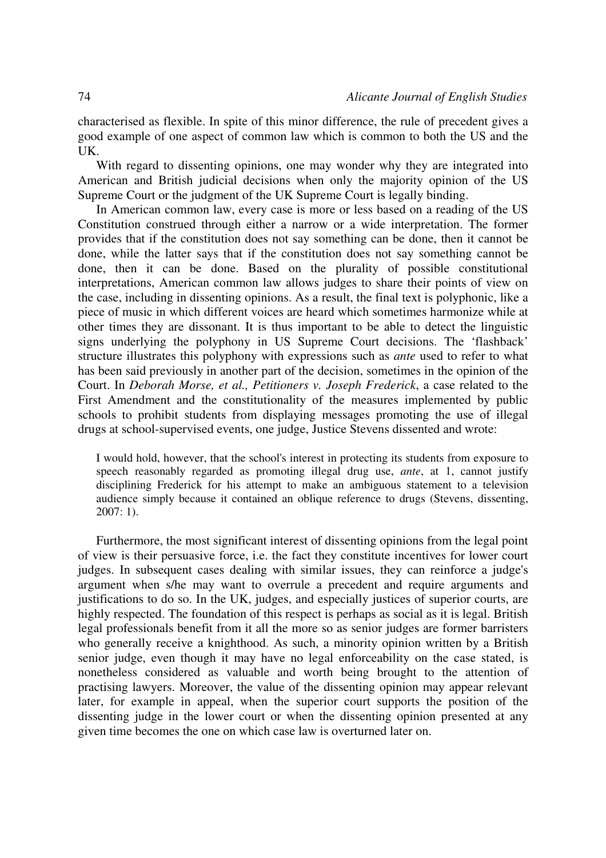characterised as flexible. In spite of this minor difference, the rule of precedent gives a good example of one aspect of common law which is common to both the US and the UK.

With regard to dissenting opinions, one may wonder why they are integrated into American and British judicial decisions when only the majority opinion of the US Supreme Court or the judgment of the UK Supreme Court is legally binding.

In American common law, every case is more or less based on a reading of the US Constitution construed through either a narrow or a wide interpretation. The former provides that if the constitution does not say something can be done, then it cannot be done, while the latter says that if the constitution does not say something cannot be done, then it can be done. Based on the plurality of possible constitutional interpretations, American common law allows judges to share their points of view on the case, including in dissenting opinions. As a result, the final text is polyphonic, like a piece of music in which different voices are heard which sometimes harmonize while at other times they are dissonant. It is thus important to be able to detect the linguistic signs underlying the polyphony in US Supreme Court decisions. The 'flashback' structure illustrates this polyphony with expressions such as *ante* used to refer to what has been said previously in another part of the decision, sometimes in the opinion of the Court. In *Deborah Morse, et al., Petitioners v. Joseph Frederick*, a case related to the First Amendment and the constitutionality of the measures implemented by public schools to prohibit students from displaying messages promoting the use of illegal drugs at school-supervised events, one judge, Justice Stevens dissented and wrote:

I would hold, however, that the school's interest in protecting its students from exposure to speech reasonably regarded as promoting illegal drug use, *ante*, at 1, cannot justify disciplining Frederick for his attempt to make an ambiguous statement to a television audience simply because it contained an oblique reference to drugs (Stevens, dissenting, 2007: 1).

Furthermore, the most significant interest of dissenting opinions from the legal point of view is their persuasive force, i.e. the fact they constitute incentives for lower court judges. In subsequent cases dealing with similar issues, they can reinforce a judge's argument when s/he may want to overrule a precedent and require arguments and justifications to do so. In the UK, judges, and especially justices of superior courts, are highly respected. The foundation of this respect is perhaps as social as it is legal. British legal professionals benefit from it all the more so as senior judges are former barristers who generally receive a knighthood. As such, a minority opinion written by a British senior judge, even though it may have no legal enforceability on the case stated, is nonetheless considered as valuable and worth being brought to the attention of practising lawyers. Moreover, the value of the dissenting opinion may appear relevant later, for example in appeal, when the superior court supports the position of the dissenting judge in the lower court or when the dissenting opinion presented at any given time becomes the one on which case law is overturned later on.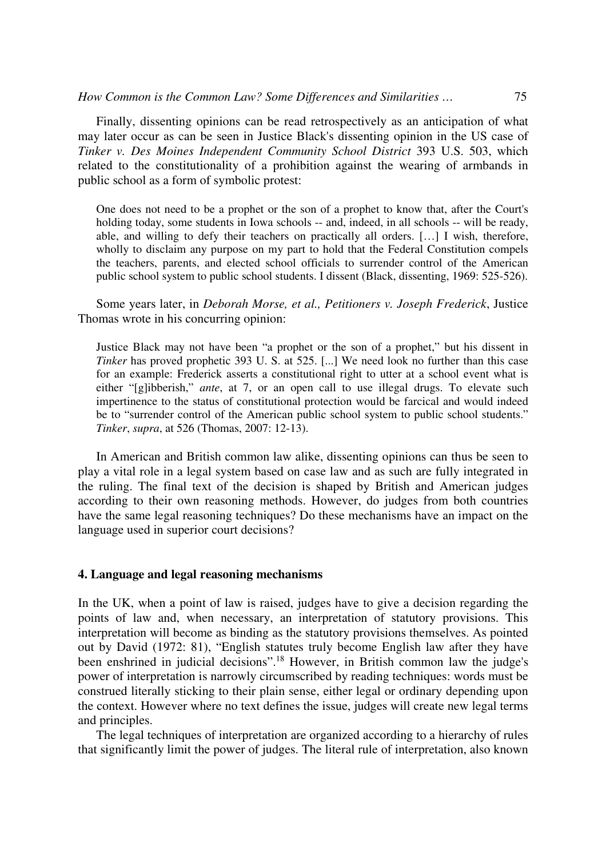Finally, dissenting opinions can be read retrospectively as an anticipation of what may later occur as can be seen in Justice Black's dissenting opinion in the US case of *Tinker v. Des Moines Independent Community School District* 393 U.S. 503, which related to the constitutionality of a prohibition against the wearing of armbands in public school as a form of symbolic protest:

One does not need to be a prophet or the son of a prophet to know that, after the Court's holding today, some students in Iowa schools -- and, indeed, in all schools -- will be ready, able, and willing to defy their teachers on practically all orders. […] I wish, therefore, wholly to disclaim any purpose on my part to hold that the Federal Constitution compels the teachers, parents, and elected school officials to surrender control of the American public school system to public school students. I dissent (Black, dissenting, 1969: 525-526).

Some years later, in *Deborah Morse, et al., Petitioners v. Joseph Frederick*, Justice Thomas wrote in his concurring opinion:

Justice Black may not have been "a prophet or the son of a prophet," but his dissent in *Tinker* has proved prophetic 393 U. S. at 525. [...] We need look no further than this case for an example: Frederick asserts a constitutional right to utter at a school event what is either "[g]ibberish," *ante*, at 7, or an open call to use illegal drugs. To elevate such impertinence to the status of constitutional protection would be farcical and would indeed be to "surrender control of the American public school system to public school students." *Tinker*, *supra*, at 526 (Thomas, 2007: 12-13).

In American and British common law alike, dissenting opinions can thus be seen to play a vital role in a legal system based on case law and as such are fully integrated in the ruling. The final text of the decision is shaped by British and American judges according to their own reasoning methods. However, do judges from both countries have the same legal reasoning techniques? Do these mechanisms have an impact on the language used in superior court decisions?

# **4. Language and legal reasoning mechanisms**

In the UK, when a point of law is raised, judges have to give a decision regarding the points of law and, when necessary, an interpretation of statutory provisions. This interpretation will become as binding as the statutory provisions themselves. As pointed out by David (1972: 81), "English statutes truly become English law after they have been enshrined in judicial decisions".<sup>18</sup> However, in British common law the judge's power of interpretation is narrowly circumscribed by reading techniques: words must be construed literally sticking to their plain sense, either legal or ordinary depending upon the context. However where no text defines the issue, judges will create new legal terms and principles.

The legal techniques of interpretation are organized according to a hierarchy of rules that significantly limit the power of judges. The literal rule of interpretation, also known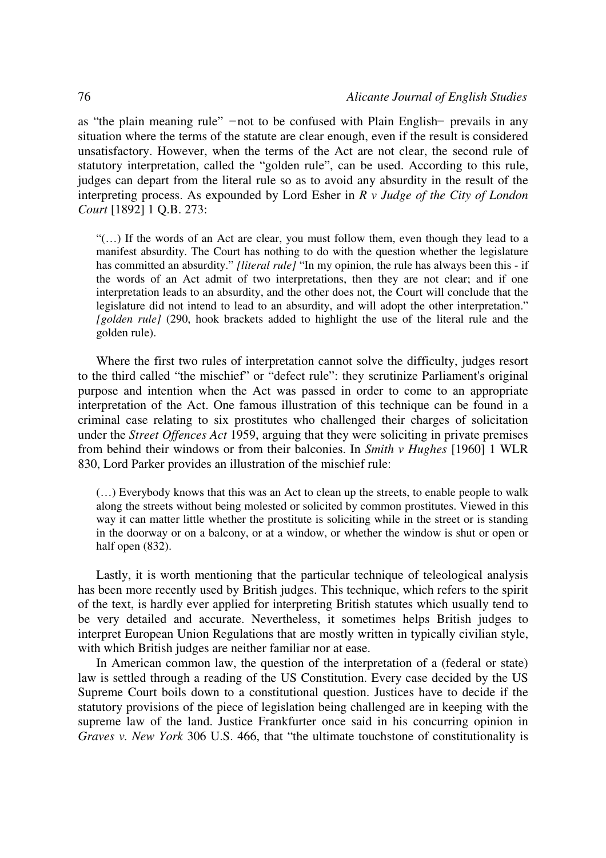as "the plain meaning rule"  $-$ not to be confused with Plain English- prevails in any situation where the terms of the statute are clear enough, even if the result is considered unsatisfactory. However, when the terms of the Act are not clear, the second rule of statutory interpretation, called the "golden rule", can be used. According to this rule, judges can depart from the literal rule so as to avoid any absurdity in the result of the interpreting process. As expounded by Lord Esher in *R v Judge of the City of London Court* [1892] 1 Q.B. 273:

"(…) If the words of an Act are clear, you must follow them, even though they lead to a manifest absurdity. The Court has nothing to do with the question whether the legislature has committed an absurdity." *[literal rule]* "In my opinion, the rule has always been this - if the words of an Act admit of two interpretations, then they are not clear; and if one interpretation leads to an absurdity, and the other does not, the Court will conclude that the legislature did not intend to lead to an absurdity, and will adopt the other interpretation." *[golden rule]* (290, hook brackets added to highlight the use of the literal rule and the golden rule).

Where the first two rules of interpretation cannot solve the difficulty, judges resort to the third called "the mischief" or "defect rule": they scrutinize Parliament's original purpose and intention when the Act was passed in order to come to an appropriate interpretation of the Act. One famous illustration of this technique can be found in a criminal case relating to six prostitutes who challenged their charges of solicitation under the *Street Offences Act* 1959, arguing that they were soliciting in private premises from behind their windows or from their balconies. In *Smith v Hughes* [1960] 1 WLR 830, Lord Parker provides an illustration of the mischief rule:

(…) Everybody knows that this was an Act to clean up the streets, to enable people to walk along the streets without being molested or solicited by common prostitutes. Viewed in this way it can matter little whether the prostitute is soliciting while in the street or is standing in the doorway or on a balcony, or at a window, or whether the window is shut or open or half open  $(832)$ .

Lastly, it is worth mentioning that the particular technique of teleological analysis has been more recently used by British judges. This technique, which refers to the spirit of the text, is hardly ever applied for interpreting British statutes which usually tend to be very detailed and accurate. Nevertheless, it sometimes helps British judges to interpret European Union Regulations that are mostly written in typically civilian style, with which British judges are neither familiar nor at ease.

In American common law, the question of the interpretation of a (federal or state) law is settled through a reading of the US Constitution. Every case decided by the US Supreme Court boils down to a constitutional question. Justices have to decide if the statutory provisions of the piece of legislation being challenged are in keeping with the supreme law of the land. Justice Frankfurter once said in his concurring opinion in *Graves v. New York* 306 U.S. 466, that "the ultimate touchstone of constitutionality is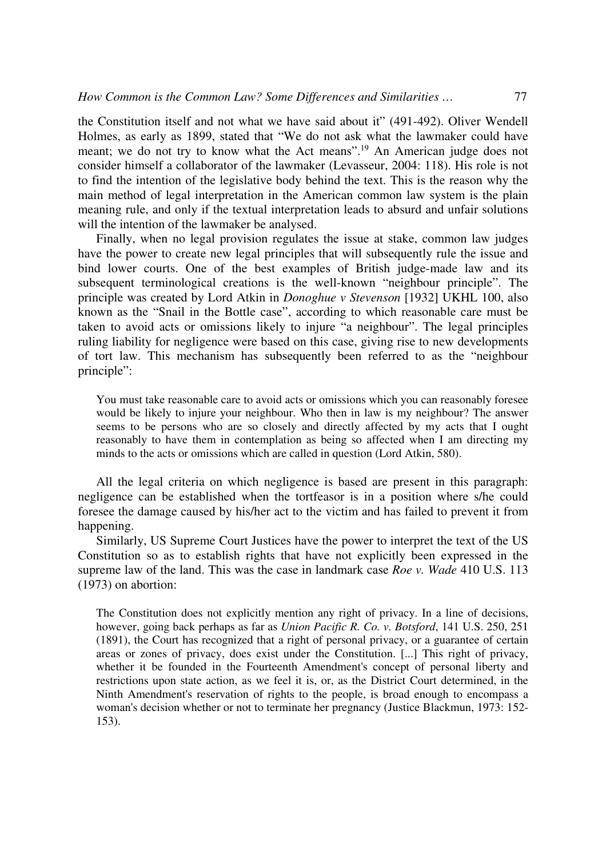the Constitution itself and not what we have said about it" (491-492). Oliver Wendell Holmes, as early as 1899, stated that "We do not ask what the lawmaker could have meant; we do not try to know what the Act means".<sup>19</sup> An American judge does not consider himself a collaborator of the lawmaker (Levasseur, 2004: 118). His role is not to find the intention of the legislative body behind the text. This is the reason why the main method of legal interpretation in the American common law system is the plain meaning rule, and only if the textual interpretation leads to absurd and unfair solutions will the intention of the lawmaker be analysed.

Finally, when no legal provision regulates the issue at stake, common law judges have the power to create new legal principles that will subsequently rule the issue and bind lower courts. One of the best examples of British judge-made law and its subsequent terminological creations is the well-known "neighbour principle". The principle was created by Lord Atkin in *Donoghue v Stevenson* [1932] UKHL 100, also known as the "Snail in the Bottle case", according to which reasonable care must be taken to avoid acts or omissions likely to injure "a neighbour". The legal principles ruling liability for negligence were based on this case, giving rise to new developments of tort law. This mechanism has subsequently been referred to as the "neighbour principle":

You must take reasonable care to avoid acts or omissions which you can reasonably foresee would be likely to injure your neighbour. Who then in law is my neighbour? The answer seems to be persons who are so closely and directly affected by my acts that I ought reasonably to have them in contemplation as being so affected when I am directing my minds to the acts or omissions which are called in question (Lord Atkin, 580).

All the legal criteria on which negligence is based are present in this paragraph: negligence can be established when the tortfeasor is in a position where s/he could foresee the damage caused by his/her act to the victim and has failed to prevent it from happening.

Similarly, US Supreme Court Justices have the power to interpret the text of the US Constitution so as to establish rights that have not explicitly been expressed in the supreme law of the land. This was the case in landmark case *Roe v. Wade* 410 U.S. 113 (1973) on abortion:

The Constitution does not explicitly mention any right of privacy. In a line of decisions, however, going back perhaps as far as *Union Pacific R. Co. v. Botsford*, 141 U.S. 250, 251 (1891), the Court has recognized that a right of personal privacy, or a guarantee of certain areas or zones of privacy, does exist under the Constitution. [...] This right of privacy, whether it be founded in the Fourteenth Amendment's concept of personal liberty and restrictions upon state action, as we feel it is, or, as the District Court determined, in the Ninth Amendment's reservation of rights to the people, is broad enough to encompass a woman's decision whether or not to terminate her pregnancy (Justice Blackmun, 1973: 152- 153).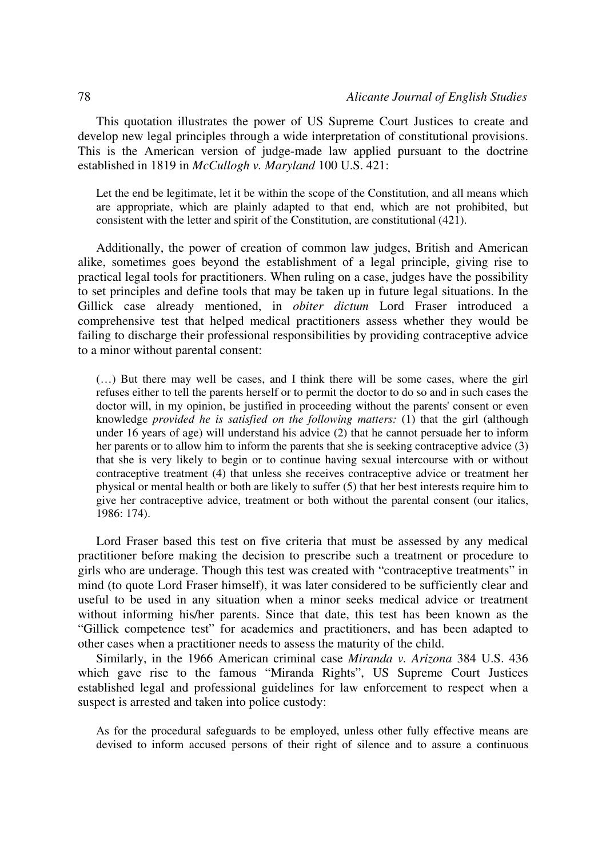This quotation illustrates the power of US Supreme Court Justices to create and develop new legal principles through a wide interpretation of constitutional provisions. This is the American version of judge-made law applied pursuant to the doctrine established in 1819 in *McCullogh v. Maryland* 100 U.S. 421:

Let the end be legitimate, let it be within the scope of the Constitution, and all means which are appropriate, which are plainly adapted to that end, which are not prohibited, but consistent with the letter and spirit of the Constitution, are constitutional (421).

Additionally, the power of creation of common law judges, British and American alike, sometimes goes beyond the establishment of a legal principle, giving rise to practical legal tools for practitioners. When ruling on a case, judges have the possibility to set principles and define tools that may be taken up in future legal situations. In the Gillick case already mentioned, in *obiter dictum* Lord Fraser introduced a comprehensive test that helped medical practitioners assess whether they would be failing to discharge their professional responsibilities by providing contraceptive advice to a minor without parental consent:

(…) But there may well be cases, and I think there will be some cases, where the girl refuses either to tell the parents herself or to permit the doctor to do so and in such cases the doctor will, in my opinion, be justified in proceeding without the parents' consent or even knowledge *provided he is satisfied on the following matters:* (1) that the girl (although under 16 years of age) will understand his advice (2) that he cannot persuade her to inform her parents or to allow him to inform the parents that she is seeking contraceptive advice (3) that she is very likely to begin or to continue having sexual intercourse with or without contraceptive treatment (4) that unless she receives contraceptive advice or treatment her physical or mental health or both are likely to suffer (5) that her best interests require him to give her contraceptive advice, treatment or both without the parental consent (our italics, 1986: 174).

Lord Fraser based this test on five criteria that must be assessed by any medical practitioner before making the decision to prescribe such a treatment or procedure to girls who are underage. Though this test was created with "contraceptive treatments" in mind (to quote Lord Fraser himself), it was later considered to be sufficiently clear and useful to be used in any situation when a minor seeks medical advice or treatment without informing his/her parents. Since that date, this test has been known as the "Gillick competence test" for academics and practitioners, and has been adapted to other cases when a practitioner needs to assess the maturity of the child.

Similarly, in the 1966 American criminal case *Miranda v. Arizona* 384 U.S. 436 which gave rise to the famous "Miranda Rights", US Supreme Court Justices established legal and professional guidelines for law enforcement to respect when a suspect is arrested and taken into police custody:

As for the procedural safeguards to be employed, unless other fully effective means are devised to inform accused persons of their right of silence and to assure a continuous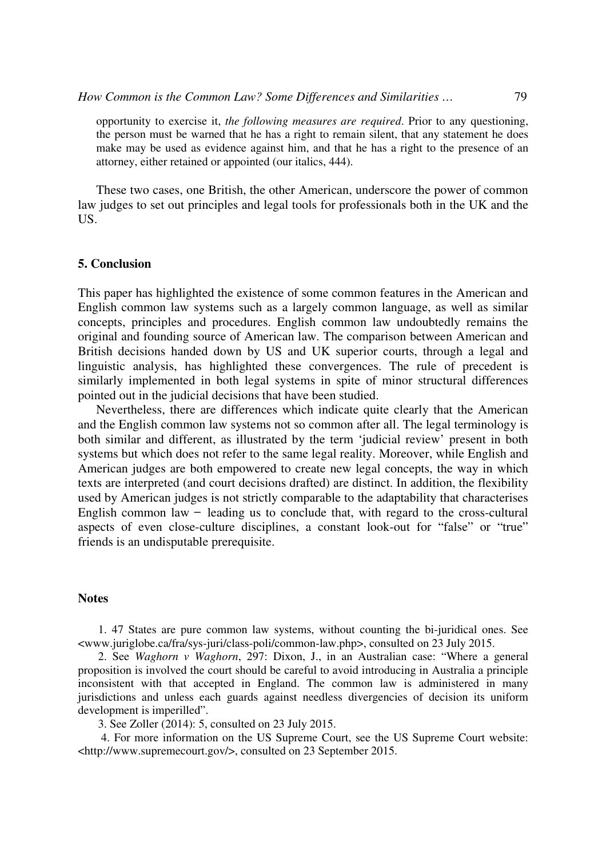opportunity to exercise it, *the following measures are required*. Prior to any questioning, the person must be warned that he has a right to remain silent, that any statement he does make may be used as evidence against him, and that he has a right to the presence of an attorney, either retained or appointed (our italics, 444).

These two cases, one British, the other American, underscore the power of common law judges to set out principles and legal tools for professionals both in the UK and the US.

# **5. Conclusion**

This paper has highlighted the existence of some common features in the American and English common law systems such as a largely common language, as well as similar concepts, principles and procedures. English common law undoubtedly remains the original and founding source of American law. The comparison between American and British decisions handed down by US and UK superior courts, through a legal and linguistic analysis, has highlighted these convergences. The rule of precedent is similarly implemented in both legal systems in spite of minor structural differences pointed out in the judicial decisions that have been studied.

Nevertheless, there are differences which indicate quite clearly that the American and the English common law systems not so common after all. The legal terminology is both similar and different, as illustrated by the term 'judicial review' present in both systems but which does not refer to the same legal reality. Moreover, while English and American judges are both empowered to create new legal concepts, the way in which texts are interpreted (and court decisions drafted) are distinct. In addition, the flexibility used by American judges is not strictly comparable to the adaptability that characterises English common law  $-$  leading us to conclude that, with regard to the cross-cultural aspects of even close-culture disciplines, a constant look-out for "false" or "true" friends is an undisputable prerequisite.

# **Notes**

1. 47 States are pure common law systems, without counting the bi-juridical ones. See <www.juriglobe.ca/fra/sys-juri/class-poli/common-law.php>, consulted on 23 July 2015.

2. See *Waghorn v Waghorn*, 297: Dixon, J., in an Australian case: "Where a general proposition is involved the court should be careful to avoid introducing in Australia a principle inconsistent with that accepted in England. The common law is administered in many jurisdictions and unless each guards against needless divergencies of decision its uniform development is imperilled".

3. See Zoller (2014): 5, consulted on 23 July 2015.

 4. For more information on the US Supreme Court, see the US Supreme Court website: <http://www.supremecourt.gov/>, consulted on 23 September 2015.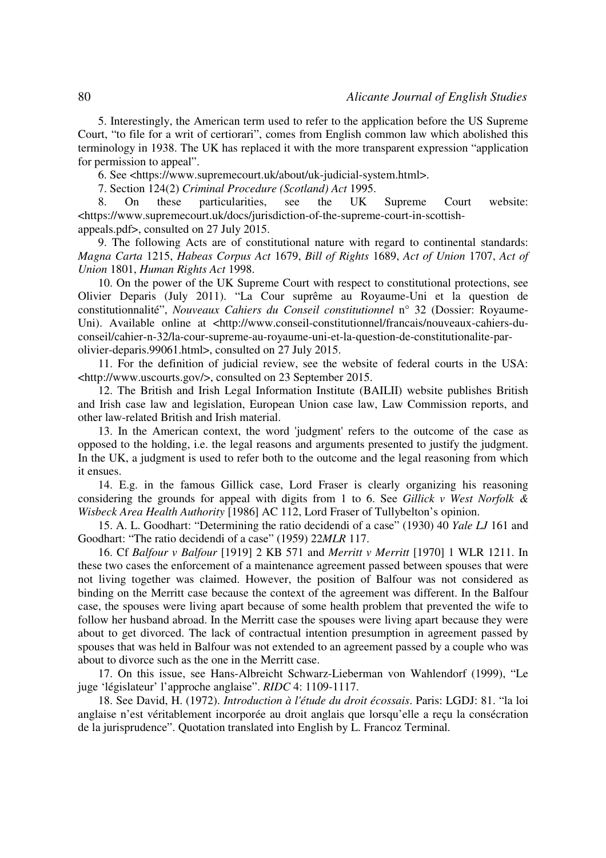5. Interestingly, the American term used to refer to the application before the US Supreme Court, "to file for a writ of certiorari", comes from English common law which abolished this terminology in 1938. The UK has replaced it with the more transparent expression "application for permission to appeal".

6. See <https://www.supremecourt.uk/about/uk-judicial-system.html>.

7. Section 124(2) *Criminal Procedure (Scotland) Act* 1995.

8. On these particularities, see the UK Supreme Court website: <https://www.supremecourt.uk/docs/jurisdiction-of-the-supreme-court-in-scottishappeals.pdf>, consulted on 27 July 2015.

9. The following Acts are of constitutional nature with regard to continental standards: *Magna Carta* 1215, *Habeas Corpus Act* 1679, *Bill of Rights* 1689, *Act of Union* 1707, *Act of Union* 1801, *Human Rights Act* 1998.

10. On the power of the UK Supreme Court with respect to constitutional protections, see Olivier Deparis (July 2011). "La Cour suprême au Royaume-Uni et la question de constitutionnalité", *Nouveaux Cahiers du Conseil constitutionnel* n° 32 (Dossier: Royaume-Uni). Available online at <http://www.conseil-constitutionnel/francais/nouveaux-cahiers-duconseil/cahier-n-32/la-cour-supreme-au-royaume-uni-et-la-question-de-constitutionalite-parolivier-deparis.99061.html>, consulted on 27 July 2015.

11. For the definition of judicial review, see the website of federal courts in the USA: <http://www.uscourts.gov/>, consulted on 23 September 2015.

12. The British and Irish Legal Information Institute (BAILII) website publishes British and Irish case law and legislation, European Union case law, Law Commission reports, and other law-related British and Irish material.

13. In the American context, the word 'judgment' refers to the outcome of the case as opposed to the holding, i.e. the legal reasons and arguments presented to justify the judgment. In the UK, a judgment is used to refer both to the outcome and the legal reasoning from which it ensues.

14. E.g. in the famous Gillick case, Lord Fraser is clearly organizing his reasoning considering the grounds for appeal with digits from 1 to 6. See *Gillick v West Norfolk & Wisbeck Area Health Authority* [1986] AC 112, Lord Fraser of Tullybelton's opinion.

15. A. L. Goodhart: "Determining the ratio decidendi of a case" (1930) 40 *Yale LJ* 161 and Goodhart: "The ratio decidendi of a case" (1959) 22*MLR* 117.

16. Cf *Balfour v Balfour* [1919] 2 KB 571 and *Merritt v Merritt* [1970] 1 WLR 1211. In these two cases the enforcement of a maintenance agreement passed between spouses that were not living together was claimed. However, the position of Balfour was not considered as binding on the Merritt case because the context of the agreement was different. In the Balfour case, the spouses were living apart because of some health problem that prevented the wife to follow her husband abroad. In the Merritt case the spouses were living apart because they were about to get divorced. The lack of contractual intention presumption in agreement passed by spouses that was held in Balfour was not extended to an agreement passed by a couple who was about to divorce such as the one in the Merritt case.

17. On this issue, see Hans-Albreicht Schwarz-Lieberman von Wahlendorf (1999), "Le juge 'législateur' l'approche anglaise". *RIDC* 4: 1109-1117.

18. See David, H. (1972). *Introduction à l'étude du droit écossais*. Paris: LGDJ: 81. "la loi anglaise n'est véritablement incorporée au droit anglais que lorsqu'elle a reçu la consécration de la jurisprudence". Quotation translated into English by L. Francoz Terminal.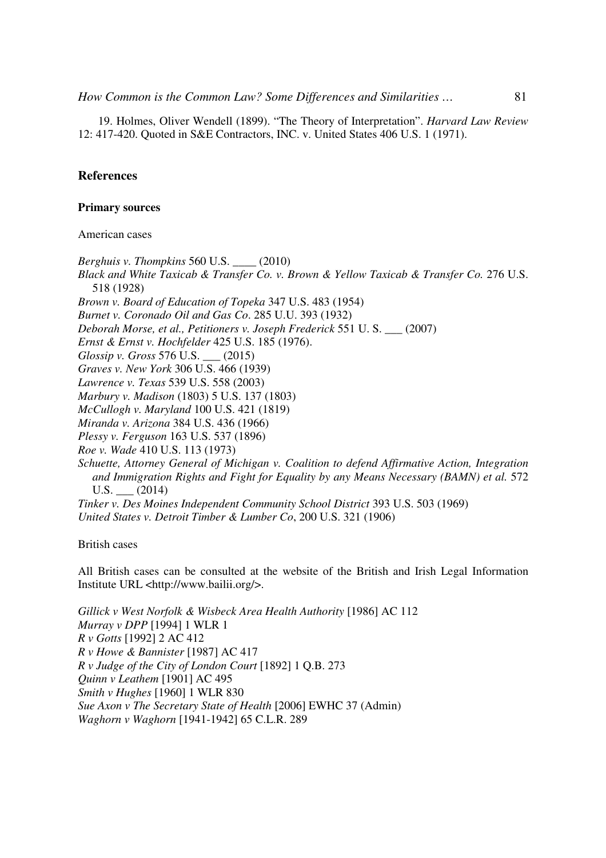*How Common is the Common Law? Some Differences and Similarities ...* 81

19. Holmes, Oliver Wendell (1899). "The Theory of Interpretation". *Harvard Law Review* 12: 417-420. Quoted in S&E Contractors, INC. v. United States 406 U.S. 1 (1971).

# **References**

# **Primary sources**

American cases

*Berghuis v. Thompkins* 560 U.S. \_\_\_\_ (2010) *Black and White Taxicab & Transfer Co. v. Brown & Yellow Taxicab & Transfer Co.* 276 U.S. 518 (1928) *Brown v. Board of Education of Topeka* 347 U.S. 483 (1954) *Burnet v. Coronado Oil and Gas Co*. 285 U.U. 393 (1932) *Deborah Morse, et al., Petitioners v. Joseph Frederick* 551 U. S. \_\_\_ (2007) *Ernst & Ernst v. Hochfelder* 425 U.S. 185 (1976). *Glossip v. Gross* 576 U.S. \_\_\_ (2015) *Graves v. New York* 306 U.S. 466 (1939) *Lawrence v. Texas* 539 U.S. 558 (2003) *Marbury v. Madison* (1803) 5 U.S. 137 (1803) *McCullogh v. Maryland* 100 U.S. 421 (1819) *Miranda v. Arizona* 384 U.S. 436 (1966) *Plessy v. Ferguson* 163 U.S. 537 (1896) *Roe v. Wade* 410 U.S. 113 (1973) *Schuette, Attorney General of Michigan v. Coalition to defend Affirmative Action, Integration and Immigration Rights and Fight for Equality by any Means Necessary (BAMN) et al.* 572 U.S. (2014) *Tinker v. Des Moines Independent Community School District* 393 U.S. 503 (1969) *United States v. Detroit Timber & Lumber Co*, 200 U.S. 321 (1906)

British cases

All British cases can be consulted at the website of the British and Irish Legal Information Institute URL <http://www.bailii.org/>.

*Gillick v West Norfolk & Wisbeck Area Health Authority* [1986] AC 112 *Murray v DPP* [1994] 1 WLR 1 *R v Gotts* [1992] 2 AC 412 *R v Howe & Bannister* [1987] AC 417 *R v Judge of the City of London Court* [1892] 1 Q.B. 273 *Quinn v Leathem* [1901] AC 495 *Smith v Hughes* [1960] 1 WLR 830 *Sue Axon v The Secretary State of Health* [2006] EWHC 37 (Admin) *Waghorn v Waghorn* [1941-1942] 65 C.L.R. 289